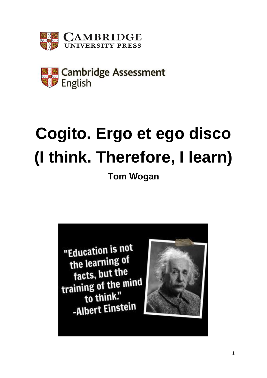



# **Cogito. Ergo et ego disco (I think. Therefore, I learn)**

**Tom Wogan**

"Education is not the learning of facts, but the training of the mind to think." -Albert Einstein

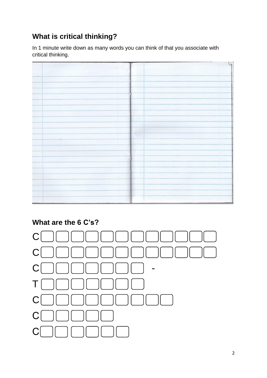## **What is critical thinking?**

In 1 minute write down as many words you can think of that you associate with critical thinking.



## **What are the 6 C's?**

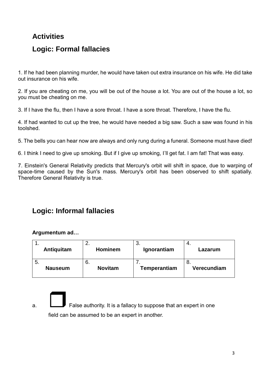#### **Activities**

#### **Logic: Formal fallacies**

1. If he had been planning murder, he would have taken out extra insurance on his wife. He did take out insurance on his wife.

2. If you are cheating on me, you will be out of the house a lot. You are out of the house a lot, so you must be cheating on me.

3. If I have the flu, then I have a sore throat. I have a sore throat. Therefore, I have the flu.

4. If had wanted to cut up the tree, he would have needed a big saw. Such a saw was found in his toolshed.

5. The bells you can hear now are always and only rung during a funeral. Someone must have died!

6. I think I need to give up smoking. But if I give up smoking, I'll get fat. I am fat! That was easy.

7. Einstein's General Relativity predicts that Mercury's orbit will shift in space, due to warping of space-time caused by the Sun's mass. Mercury's orbit has been observed to shift spatially. Therefore General Relativity is true.

### **Logic: Informal fallacies**

#### **Argumentum ad…**

| . . | Antiquitam     | <u>.</u><br><b>Hominem</b> | . ب<br>Ignorantiam | 4.<br>Lazarum     |
|-----|----------------|----------------------------|--------------------|-------------------|
| ა.  | <b>Nauseum</b> | 6.<br><b>Novitam</b>       | Temperantiam       | o.<br>Verecundiam |

a. False authority. It is a fallacy to suppose that an expert in one field can be assumed to be an expert in another.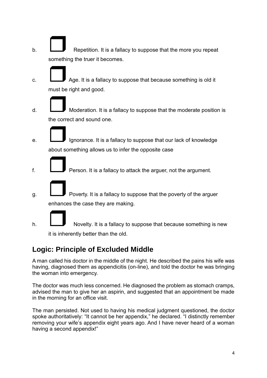- b.  $\Box$  Repetition. It is a fallacy to suppose that the more you repeat something the truer it becomes.
- c.  $\Box$  Age. It is a fallacy to suppose that because something is old it must be right and good.
- d. Moderation. It is a fallacy to suppose that the moderate position is the correct and sound one.
- e. **If all i**gnorance. It is a fallacy to suppose that our lack of knowledge about something allows us to infer the opposite case
- f. Person. It is a fallacy to attack the arguer, not the argument.
- $\Box$  Poverty. It is a fallacy to suppose that the poverty of the arguer enhances the case they are making.
- h.  $\Box$  Novelty. It is a fallacy to suppose that because something is new it is inherently better than the old.

#### **Logic: Principle of Excluded Middle**

A man called his doctor in the middle of the night. He described the pains his wife was having, diagnosed them as appendicitis (on-line), and told the doctor he was bringing the woman into emergency.

The doctor was much less concerned. He diagnosed the problem as stomach cramps, advised the man to give her an aspirin, and suggested that an appointment be made in the morning for an office visit.

The man persisted. Not used to having his medical judgment questioned, the doctor spoke authoritatively: "It cannot be her appendix," he declared. "I distinctly remember removing your wife's appendix eight years ago. And I have never heard of a woman having a second appendix!"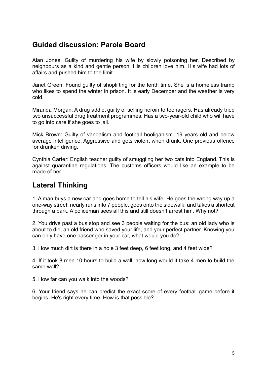#### **Guided discussion: Parole Board**

Alan Jones: Guilty of murdering his wife by slowly poisoning her. Described by neighbours as a kind and gentle person. His children love him. His wife had lots of affairs and pushed him to the limit.

Janet Green: Found guilty of shoplifting for the tenth time. She is a homeless tramp who likes to spend the winter in prison. It is early December and the weather is very cold.

Miranda Morgan: A drug addict guilty of selling heroin to teenagers. Has already tried two unsuccessful drug treatment programmes. Has a two-year-old child who will have to go into care if she goes to jail.

Mick Brown: Guilty of vandalism and football hooliganism. 19 years old and below average intelligence. Aggressive and gets violent when drunk. One previous offence for drunken driving.

Cynthia Carter: English teacher guilty of smuggling her two cats into England. This is against quarantine regulations. The customs officers would like an example to be made of her

#### **Lateral Thinking**

1. A man buys a new car and goes home to tell his wife. He goes the wrong way up a one-way street, nearly runs into 7 people, goes onto the sidewalk, and takes a shortcut through a park. A policeman sees all this and still doesn't arrest him. Why not?

2. You drive past a bus stop and see 3 people waiting for the bus: an old lady who is about to die, an old friend who saved your life, and your perfect partner. Knowing you can only have one passenger in your car, what would you do?

3. How much dirt is there in a hole 3 feet deep, 6 feet long, and 4 feet wide?

4. If it took 8 men 10 hours to build a wall, how long would it take 4 men to build the same wall?

5. How far can you walk into the woods?

6. Your friend says he can predict the exact score of every football game before it begins. He's right every time. How is that possible?